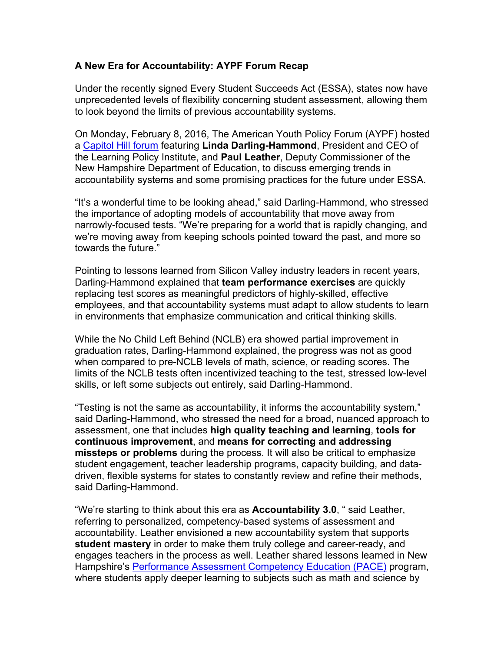## **A New Era for Accountability: AYPF Forum Recap**

Under the recently signed Every Student Succeeds Act (ESSA), states now have unprecedented levels of flexibility concerning student assessment, allowing them to look beyond the limits of previous accountability systems.

On Monday, February 8, 2016, The American Youth Policy Forum (AYPF) hosted a Capitol Hill forum featuring **Linda Darling-Hammond**, President and CEO of the Learning Policy Institute, and **Paul Leather**, Deputy Commissioner of the New Hampshire Department of Education, to discuss emerging trends in accountability systems and some promising practices for the future under ESSA.

"It's a wonderful time to be looking ahead," said Darling-Hammond, who stressed the importance of adopting models of accountability that move away from narrowly-focused tests. "We're preparing for a world that is rapidly changing, and we're moving away from keeping schools pointed toward the past, and more so towards the future."

Pointing to lessons learned from Silicon Valley industry leaders in recent years, Darling-Hammond explained that **team performance exercises** are quickly replacing test scores as meaningful predictors of highly-skilled, effective employees, and that accountability systems must adapt to allow students to learn in environments that emphasize communication and critical thinking skills.

While the No Child Left Behind (NCLB) era showed partial improvement in graduation rates, Darling-Hammond explained, the progress was not as good when compared to pre-NCLB levels of math, science, or reading scores. The limits of the NCLB tests often incentivized teaching to the test, stressed low-level skills, or left some subjects out entirely, said Darling-Hammond.

"Testing is not the same as accountability, it informs the accountability system," said Darling-Hammond, who stressed the need for a broad, nuanced approach to assessment, one that includes **high quality teaching and learning**, **tools for continuous improvement**, and **means for correcting and addressing missteps or problems** during the process. It will also be critical to emphasize student engagement, teacher leadership programs, capacity building, and datadriven, flexible systems for states to constantly review and refine their methods, said Darling-Hammond.

"We're starting to think about this era as **Accountability 3.0**, " said Leather, referring to personalized, competency-based systems of assessment and accountability. Leather envisioned a new accountability system that supports **student mastery** in order to make them truly college and career-ready, and engages teachers in the process as well. Leather shared lessons learned in New Hampshire's Performance Assessment Competency Education (PACE) program, where students apply deeper learning to subjects such as math and science by